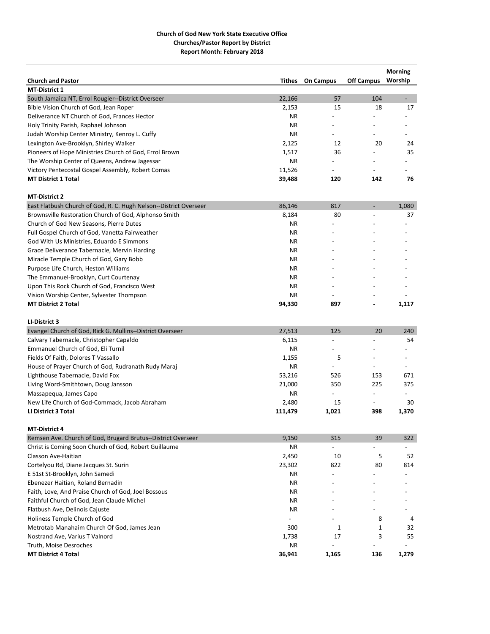|                                                                   |           |                          |                          | <b>Morning</b>           |
|-------------------------------------------------------------------|-----------|--------------------------|--------------------------|--------------------------|
| <b>Church and Pastor</b>                                          | Tithes    | <b>On Campus</b>         | <b>Off Campus</b>        | Worship                  |
| <b>MT-District 1</b>                                              |           |                          |                          |                          |
| South Jamaica NT, Errol Rougier--District Overseer                | 22,166    | 57                       | 104                      | $\blacksquare$           |
| Bible Vision Church of God, Jean Roper                            | 2,153     | 15                       | 18                       | 17                       |
| Deliverance NT Church of God, Frances Hector                      | ΝR        |                          |                          |                          |
| Holy Trinity Parish, Raphael Johnson                              | ΝR        |                          |                          |                          |
| Judah Worship Center Ministry, Kenroy L. Cuffy                    | <b>NR</b> |                          |                          |                          |
| Lexington Ave-Brooklyn, Shirley Walker                            | 2,125     | 12                       | 20                       | 24                       |
| Pioneers of Hope Ministries Church of God, Errol Brown            | 1,517     | 36                       |                          | 35                       |
| The Worship Center of Queens, Andrew Jagessar                     | ΝR        |                          |                          |                          |
| Victory Pentecostal Gospel Assembly, Robert Comas                 | 11,526    | $\overline{\phantom{a}}$ | $\overline{\phantom{a}}$ |                          |
| <b>MT District 1 Total</b>                                        | 39,488    | 120                      | 142                      | 76                       |
| <b>MT-District 2</b>                                              |           |                          |                          |                          |
| East Flatbush Church of God, R. C. Hugh Nelson--District Overseer | 86,146    | 817                      | $\overline{\phantom{a}}$ | 1,080                    |
| Brownsville Restoration Church of God, Alphonso Smith             | 8,184     | 80                       |                          | 37                       |
| Church of God New Seasons, Pierre Dutes                           | ΝR        |                          |                          |                          |
| Full Gospel Church of God, Vanetta Fairweather                    | <b>NR</b> |                          |                          |                          |
| God With Us Ministries, Eduardo E Simmons                         | ΝR        |                          |                          |                          |
| Grace Deliverance Tabernacle, Mervin Harding                      | <b>NR</b> |                          |                          |                          |
| Miracle Temple Church of God, Gary Bobb                           | ΝR        |                          |                          |                          |
| Purpose Life Church, Heston Williams                              | <b>NR</b> |                          |                          |                          |
| The Emmanuel-Brooklyn, Curt Courtenay                             | ΝR        |                          |                          |                          |
| Upon This Rock Church of God, Francisco West                      | ΝR        |                          |                          |                          |
| Vision Worship Center, Sylvester Thompson                         | NR.       |                          |                          |                          |
| <b>MT District 2 Total</b>                                        | 94,330    | 897                      | $\blacksquare$           | 1,117                    |
| LI-District 3                                                     |           |                          |                          |                          |
| Evangel Church of God, Rick G. Mullins--District Overseer         | 27,513    | 125                      | 20                       | 240                      |
| Calvary Tabernacle, Christopher Capaldo                           | 6,115     |                          |                          | 54                       |
| Emmanuel Church of God, Eli Turnil                                | ΝR        |                          |                          |                          |
| Fields Of Faith, Dolores T Vassallo                               | 1,155     | 5                        |                          |                          |
| House of Prayer Church of God, Rudranath Rudy Maraj               | <b>NR</b> | $\overline{\phantom{a}}$ | $\overline{\phantom{a}}$ | $\overline{\phantom{a}}$ |
| Lighthouse Tabernacle, David Fox                                  | 53,216    | 526                      | 153                      | 671                      |
| Living Word-Smithtown, Doug Jansson                               | 21,000    | 350                      | 225                      | 375                      |
| Massapequa, James Capo                                            | ΝR        | $\sim$                   | $\overline{\phantom{a}}$ | $\overline{\phantom{a}}$ |
| New Life Church of God-Commack, Jacob Abraham                     | 2,480     | 15                       | $\overline{\phantom{a}}$ | 30                       |
| <b>LI District 3 Total</b>                                        | 111,479   | 1,021                    | 398                      | 1,370                    |
| <b>MT-District 4</b>                                              |           |                          |                          |                          |
| Remsen Ave. Church of God, Brugard Brutus--District Overseer      | 9,150     | 315                      | 39                       | 322                      |
| Christ is Coming Soon Church of God, Robert Guillaume             | ΝR        |                          |                          |                          |
| Classon Ave-Haitian                                               | 2,450     | 10                       | 5                        | 52                       |
| Cortelyou Rd, Diane Jacques St. Surin                             | 23,302    | 822                      | 80                       | 814                      |
| E 51st St-Brooklyn, John Samedi                                   | ΝR        |                          |                          |                          |
| Ebenezer Haitian, Roland Bernadin                                 | NR.       |                          |                          |                          |
| Faith, Love, And Praise Church of God, Joel Bossous               | ΝR        |                          |                          |                          |
| Faithful Church of God, Jean Claude Michel                        | ΝR        |                          |                          |                          |
| Flatbush Ave, Delinois Cajuste                                    | ΝR        |                          |                          |                          |
| Holiness Temple Church of God                                     |           |                          | 8                        | 4                        |
| Metrotab Manahaim Church Of God, James Jean                       | 300       | 1                        | 1                        | 32                       |
| Nostrand Ave, Varius T Valnord                                    | 1,738     | 17                       | 3                        | 55                       |
| Truth, Moise Desroches                                            | ΝR        |                          | $\overline{a}$           |                          |
| <b>MT District 4 Total</b>                                        | 36,941    | 1,165                    | 136                      | 1,279                    |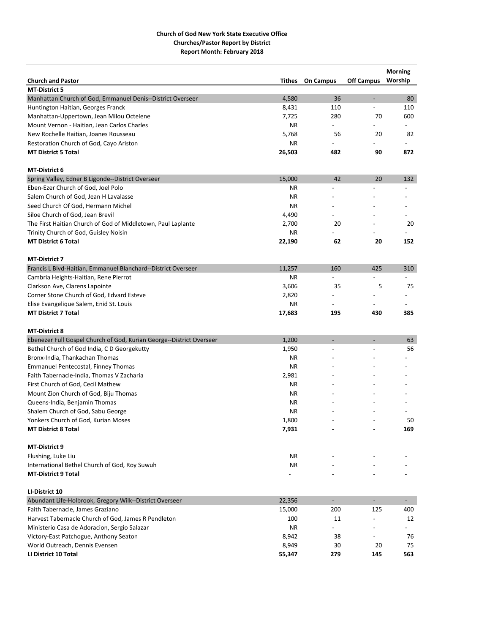|                                                                      |        |                          |                          | <b>Morning</b> |
|----------------------------------------------------------------------|--------|--------------------------|--------------------------|----------------|
| <b>Church and Pastor</b>                                             | Tithes | <b>On Campus</b>         | <b>Off Campus</b>        | Worship        |
| <b>MT-District 5</b>                                                 |        |                          |                          |                |
| Manhattan Church of God, Emmanuel Denis--District Overseer           | 4,580  | 36                       | $\overline{\phantom{a}}$ | 80             |
| Huntington Haitian, Georges Franck                                   | 8,431  | 110                      | $\overline{\phantom{a}}$ | 110            |
| Manhattan-Uppertown, Jean Milou Octelene                             | 7,725  | 280                      | 70                       | 600            |
| Mount Vernon - Haitian, Jean Carlos Charles                          | ΝR     |                          |                          |                |
| New Rochelle Haitian, Joanes Rousseau                                | 5,768  | 56                       | 20                       | 82             |
| Restoration Church of God, Cayo Ariston                              | ΝR     |                          |                          |                |
| <b>MT District 5 Total</b>                                           | 26,503 | 482                      | 90                       | 872            |
| <b>MT-District 6</b>                                                 |        |                          |                          |                |
| Spring Valley, Edner B Ligonde--District Overseer                    | 15,000 | 42                       | 20                       | 132            |
| Eben-Ezer Church of God, Joel Polo                                   | ΝR     |                          |                          |                |
| Salem Church of God, Jean H Lavalasse                                | ΝR     |                          |                          |                |
| Seed Church Of God, Hermann Michel                                   | ΝR     |                          |                          |                |
| Siloe Church of God, Jean Brevil                                     | 4,490  |                          |                          |                |
| The First Haitian Church of God of Middletown, Paul Laplante         | 2,700  | 20                       |                          | 20             |
|                                                                      |        |                          |                          |                |
| Trinity Church of God, Guisley Noisin                                | ΝR     |                          |                          |                |
| <b>MT District 6 Total</b>                                           | 22,190 | 62                       | 20                       | 152            |
| <b>MT-District 7</b>                                                 |        |                          |                          |                |
| Francis L Blvd-Haitian, Emmanuel Blanchard--District Overseer        | 11,257 | 160                      | 425                      | 310            |
| Cambria Heights-Haitian, Rene Pierrot                                | ΝR     |                          |                          |                |
| Clarkson Ave, Clarens Lapointe                                       | 3,606  | 35                       | 5                        | 75             |
| Corner Stone Church of God, Edvard Esteve                            | 2,820  |                          |                          |                |
| Elise Evangelique Salem, Enid St. Louis                              | ΝR     |                          |                          |                |
| <b>MT District 7 Total</b>                                           | 17,683 | 195                      | 430                      | 385            |
|                                                                      |        |                          |                          |                |
| <b>MT-District 8</b>                                                 |        |                          |                          |                |
| Ebenezer Full Gospel Church of God, Kurian George--District Overseer | 1,200  | $\overline{\phantom{a}}$ | $\overline{\phantom{a}}$ | 63             |
| Bethel Church of God India, C D Georgekutty                          | 1,950  |                          |                          | 56             |
| Bronx-India, Thankachan Thomas                                       | ΝR     |                          |                          |                |
| <b>Emmanuel Pentecostal, Finney Thomas</b>                           | ΝR     |                          |                          |                |
| Faith Tabernacle-India, Thomas V Zacharia                            | 2,981  |                          |                          |                |
| First Church of God, Cecil Mathew                                    | ΝR     |                          |                          |                |
| Mount Zion Church of God, Biju Thomas                                | ΝR     |                          |                          |                |
| Queens-India, Benjamin Thomas                                        | ΝR     |                          |                          |                |
| Shalem Church of God, Sabu George                                    | ΝR     |                          |                          |                |
| Yonkers Church of God, Kurian Moses                                  | 1,800  |                          |                          | 50             |
|                                                                      |        |                          |                          | 169            |
| <b>MT District 8 Total</b>                                           | 7,931  |                          |                          |                |
| MT-District 9                                                        |        |                          |                          |                |
| Flushing, Luke Liu                                                   | NR     |                          |                          |                |
| International Bethel Church of God, Roy Suwuh                        | ΝR     |                          |                          |                |
| <b>MT-District 9 Total</b>                                           |        |                          |                          |                |
| LI-District 10                                                       |        |                          |                          |                |
| Abundant Life-Holbrook, Gregory Wilk--District Overseer              | 22,356 | $\overline{\phantom{a}}$ | $\blacksquare$           | $\sim 10$      |
| Faith Tabernacle, James Graziano                                     | 15,000 | 200                      | 125                      | 400            |
| Harvest Tabernacle Church of God, James R Pendleton                  | 100    | 11                       |                          | 12             |
| Ministerio Casa de Adoracion, Sergio Salazar                         | NR     | ÷.                       |                          |                |
| Victory-East Patchogue, Anthony Seaton                               | 8,942  | 38                       |                          | 76             |
| World Outreach, Dennis Evensen                                       | 8,949  | 30                       | 20                       | 75             |
| LI District 10 Total                                                 | 55,347 | 279                      | 145                      | 563            |
|                                                                      |        |                          |                          |                |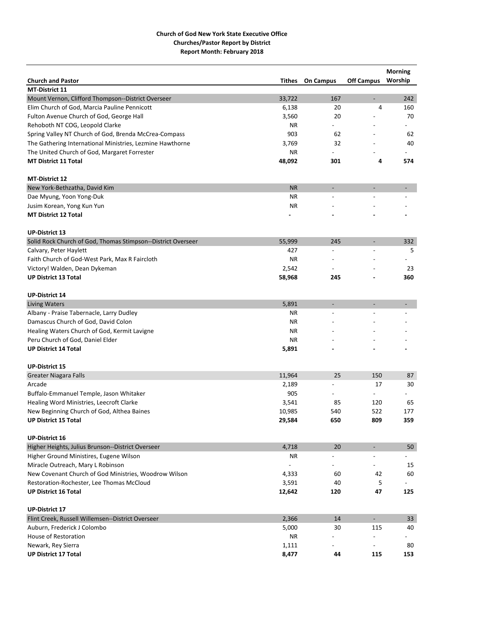| <b>Church and Pastor</b><br><b>Off Campus</b><br>Worship<br><b>Tithes</b><br><b>On Campus</b><br><b>MT-District 11</b><br>Mount Vernon, Clifford Thompson--District Overseer<br>33,722<br>167<br>242<br>$\overline{\phantom{a}}$<br>Elim Church of God, Marcia Pauline Pennicott<br>6,138<br>20<br>4<br>160<br>70<br>Fulton Avenue Church of God, George Hall<br>3,560<br>20<br>Rehoboth NT COG, Leopold Clarke<br>ΝR<br>Spring Valley NT Church of God, Brenda McCrea-Compass<br>903<br>62<br>62<br>The Gathering International Ministries, Lezmine Hawthorne<br>3,769<br>32<br>40<br>The United Church of God, Margaret Forrester<br>ΝR<br><b>MT District 11 Total</b><br>48,092<br>574<br>301<br>4<br><b>MT-District 12</b><br>New York-Bethzatha, David Kim<br><b>NR</b><br>$\overline{\phantom{a}}$<br>-<br>$\overline{\phantom{a}}$<br>Dae Myung, Yoon Yong-Duk<br>ΝR<br>Jusim Korean, Yong Kun Yun<br><b>NR</b><br><b>MT District 12 Total</b><br><b>UP-District 13</b><br>Solid Rock Church of God, Thomas Stimpson--District Overseer<br>55,999<br>245<br>332<br>$\overline{a}$<br>Calvary, Peter Haylett<br>427<br>5<br><b>NR</b><br>Faith Church of God-West Park, Max R Faircloth<br>Victory! Walden, Dean Dykeman<br>2,542<br>23<br><b>UP District 13 Total</b><br>58,968<br>360<br>245<br><b>UP-District 14</b><br><b>Living Waters</b><br>5,891<br>÷,<br>$\overline{a}$<br>$\overline{\phantom{0}}$<br>Albany - Praise Tabernacle, Larry Dudley<br>ΝR<br>Damascus Church of God, David Colon<br>ΝR<br>Healing Waters Church of God, Kermit Lavigne<br><b>NR</b><br>Peru Church of God, Daniel Elder<br>ΝR<br><b>UP District 14 Total</b><br>5,891<br><b>UP-District 15</b><br><b>Greater Niagara Falls</b><br>11,964<br>25<br>150<br>87<br>30<br>Arcade<br>2,189<br>17<br>$\overline{a}$<br>Buffalo-Emmanuel Temple, Jason Whitaker<br>905<br>$\overline{a}$<br>Healing Word Ministries, Leecroft Clarke<br>3,541<br>85<br>120<br>65<br>New Beginning Church of God, Althea Baines<br>10,985<br>522<br>540<br>177<br>359<br><b>UP District 15 Total</b><br>29,584<br>650<br>809<br><b>UP-District 16</b><br>Higher Heights, Julius Brunson--District Overseer<br>4,718<br>20<br>50<br>$\overline{\phantom{a}}$<br>Higher Ground Ministires, Eugene Wilson<br>ΝR<br>÷,<br>$\overline{\phantom{a}}$<br>Miracle Outreach, Mary L Robinson<br>15<br>New Covenant Church of God Ministries, Woodrow Wilson<br>4,333<br>60<br>42<br>60<br>Restoration-Rochester, Lee Thomas McCloud<br>3,591<br>40<br>5<br><b>UP District 16 Total</b><br>12,642<br>120<br>47<br>125<br><b>UP-District 17</b><br>Flint Creek, Russell Willemsen--District Overseer<br>2,366<br>14<br>$\blacksquare$<br>33<br>Auburn, Frederick J Colombo<br>5,000<br>115<br>40<br>30<br>House of Restoration<br>ΝR<br>Newark, Rey Sierra<br>1,111<br>80<br><b>UP District 17 Total</b><br>8,477<br>153<br>44<br>115 |  |  | <b>Morning</b> |
|----------------------------------------------------------------------------------------------------------------------------------------------------------------------------------------------------------------------------------------------------------------------------------------------------------------------------------------------------------------------------------------------------------------------------------------------------------------------------------------------------------------------------------------------------------------------------------------------------------------------------------------------------------------------------------------------------------------------------------------------------------------------------------------------------------------------------------------------------------------------------------------------------------------------------------------------------------------------------------------------------------------------------------------------------------------------------------------------------------------------------------------------------------------------------------------------------------------------------------------------------------------------------------------------------------------------------------------------------------------------------------------------------------------------------------------------------------------------------------------------------------------------------------------------------------------------------------------------------------------------------------------------------------------------------------------------------------------------------------------------------------------------------------------------------------------------------------------------------------------------------------------------------------------------------------------------------------------------------------------------------------------------------------------------------------------------------------------------------------------------------------------------------------------------------------------------------------------------------------------------------------------------------------------------------------------------------------------------------------------------------------------------------------------------------------------------------------------------------------------------------------------------------------------------------------------------------------------------------------------------------------------------------------------------------------------------------------------------------------------------------------------------------------------------------------------------------------------------------------------------------------------------|--|--|----------------|
|                                                                                                                                                                                                                                                                                                                                                                                                                                                                                                                                                                                                                                                                                                                                                                                                                                                                                                                                                                                                                                                                                                                                                                                                                                                                                                                                                                                                                                                                                                                                                                                                                                                                                                                                                                                                                                                                                                                                                                                                                                                                                                                                                                                                                                                                                                                                                                                                                                                                                                                                                                                                                                                                                                                                                                                                                                                                                              |  |  |                |
|                                                                                                                                                                                                                                                                                                                                                                                                                                                                                                                                                                                                                                                                                                                                                                                                                                                                                                                                                                                                                                                                                                                                                                                                                                                                                                                                                                                                                                                                                                                                                                                                                                                                                                                                                                                                                                                                                                                                                                                                                                                                                                                                                                                                                                                                                                                                                                                                                                                                                                                                                                                                                                                                                                                                                                                                                                                                                              |  |  |                |
|                                                                                                                                                                                                                                                                                                                                                                                                                                                                                                                                                                                                                                                                                                                                                                                                                                                                                                                                                                                                                                                                                                                                                                                                                                                                                                                                                                                                                                                                                                                                                                                                                                                                                                                                                                                                                                                                                                                                                                                                                                                                                                                                                                                                                                                                                                                                                                                                                                                                                                                                                                                                                                                                                                                                                                                                                                                                                              |  |  |                |
|                                                                                                                                                                                                                                                                                                                                                                                                                                                                                                                                                                                                                                                                                                                                                                                                                                                                                                                                                                                                                                                                                                                                                                                                                                                                                                                                                                                                                                                                                                                                                                                                                                                                                                                                                                                                                                                                                                                                                                                                                                                                                                                                                                                                                                                                                                                                                                                                                                                                                                                                                                                                                                                                                                                                                                                                                                                                                              |  |  |                |
|                                                                                                                                                                                                                                                                                                                                                                                                                                                                                                                                                                                                                                                                                                                                                                                                                                                                                                                                                                                                                                                                                                                                                                                                                                                                                                                                                                                                                                                                                                                                                                                                                                                                                                                                                                                                                                                                                                                                                                                                                                                                                                                                                                                                                                                                                                                                                                                                                                                                                                                                                                                                                                                                                                                                                                                                                                                                                              |  |  |                |
|                                                                                                                                                                                                                                                                                                                                                                                                                                                                                                                                                                                                                                                                                                                                                                                                                                                                                                                                                                                                                                                                                                                                                                                                                                                                                                                                                                                                                                                                                                                                                                                                                                                                                                                                                                                                                                                                                                                                                                                                                                                                                                                                                                                                                                                                                                                                                                                                                                                                                                                                                                                                                                                                                                                                                                                                                                                                                              |  |  |                |
|                                                                                                                                                                                                                                                                                                                                                                                                                                                                                                                                                                                                                                                                                                                                                                                                                                                                                                                                                                                                                                                                                                                                                                                                                                                                                                                                                                                                                                                                                                                                                                                                                                                                                                                                                                                                                                                                                                                                                                                                                                                                                                                                                                                                                                                                                                                                                                                                                                                                                                                                                                                                                                                                                                                                                                                                                                                                                              |  |  |                |
|                                                                                                                                                                                                                                                                                                                                                                                                                                                                                                                                                                                                                                                                                                                                                                                                                                                                                                                                                                                                                                                                                                                                                                                                                                                                                                                                                                                                                                                                                                                                                                                                                                                                                                                                                                                                                                                                                                                                                                                                                                                                                                                                                                                                                                                                                                                                                                                                                                                                                                                                                                                                                                                                                                                                                                                                                                                                                              |  |  |                |
|                                                                                                                                                                                                                                                                                                                                                                                                                                                                                                                                                                                                                                                                                                                                                                                                                                                                                                                                                                                                                                                                                                                                                                                                                                                                                                                                                                                                                                                                                                                                                                                                                                                                                                                                                                                                                                                                                                                                                                                                                                                                                                                                                                                                                                                                                                                                                                                                                                                                                                                                                                                                                                                                                                                                                                                                                                                                                              |  |  |                |
|                                                                                                                                                                                                                                                                                                                                                                                                                                                                                                                                                                                                                                                                                                                                                                                                                                                                                                                                                                                                                                                                                                                                                                                                                                                                                                                                                                                                                                                                                                                                                                                                                                                                                                                                                                                                                                                                                                                                                                                                                                                                                                                                                                                                                                                                                                                                                                                                                                                                                                                                                                                                                                                                                                                                                                                                                                                                                              |  |  |                |
|                                                                                                                                                                                                                                                                                                                                                                                                                                                                                                                                                                                                                                                                                                                                                                                                                                                                                                                                                                                                                                                                                                                                                                                                                                                                                                                                                                                                                                                                                                                                                                                                                                                                                                                                                                                                                                                                                                                                                                                                                                                                                                                                                                                                                                                                                                                                                                                                                                                                                                                                                                                                                                                                                                                                                                                                                                                                                              |  |  |                |
|                                                                                                                                                                                                                                                                                                                                                                                                                                                                                                                                                                                                                                                                                                                                                                                                                                                                                                                                                                                                                                                                                                                                                                                                                                                                                                                                                                                                                                                                                                                                                                                                                                                                                                                                                                                                                                                                                                                                                                                                                                                                                                                                                                                                                                                                                                                                                                                                                                                                                                                                                                                                                                                                                                                                                                                                                                                                                              |  |  |                |
|                                                                                                                                                                                                                                                                                                                                                                                                                                                                                                                                                                                                                                                                                                                                                                                                                                                                                                                                                                                                                                                                                                                                                                                                                                                                                                                                                                                                                                                                                                                                                                                                                                                                                                                                                                                                                                                                                                                                                                                                                                                                                                                                                                                                                                                                                                                                                                                                                                                                                                                                                                                                                                                                                                                                                                                                                                                                                              |  |  |                |
|                                                                                                                                                                                                                                                                                                                                                                                                                                                                                                                                                                                                                                                                                                                                                                                                                                                                                                                                                                                                                                                                                                                                                                                                                                                                                                                                                                                                                                                                                                                                                                                                                                                                                                                                                                                                                                                                                                                                                                                                                                                                                                                                                                                                                                                                                                                                                                                                                                                                                                                                                                                                                                                                                                                                                                                                                                                                                              |  |  |                |
|                                                                                                                                                                                                                                                                                                                                                                                                                                                                                                                                                                                                                                                                                                                                                                                                                                                                                                                                                                                                                                                                                                                                                                                                                                                                                                                                                                                                                                                                                                                                                                                                                                                                                                                                                                                                                                                                                                                                                                                                                                                                                                                                                                                                                                                                                                                                                                                                                                                                                                                                                                                                                                                                                                                                                                                                                                                                                              |  |  |                |
|                                                                                                                                                                                                                                                                                                                                                                                                                                                                                                                                                                                                                                                                                                                                                                                                                                                                                                                                                                                                                                                                                                                                                                                                                                                                                                                                                                                                                                                                                                                                                                                                                                                                                                                                                                                                                                                                                                                                                                                                                                                                                                                                                                                                                                                                                                                                                                                                                                                                                                                                                                                                                                                                                                                                                                                                                                                                                              |  |  |                |
|                                                                                                                                                                                                                                                                                                                                                                                                                                                                                                                                                                                                                                                                                                                                                                                                                                                                                                                                                                                                                                                                                                                                                                                                                                                                                                                                                                                                                                                                                                                                                                                                                                                                                                                                                                                                                                                                                                                                                                                                                                                                                                                                                                                                                                                                                                                                                                                                                                                                                                                                                                                                                                                                                                                                                                                                                                                                                              |  |  |                |
|                                                                                                                                                                                                                                                                                                                                                                                                                                                                                                                                                                                                                                                                                                                                                                                                                                                                                                                                                                                                                                                                                                                                                                                                                                                                                                                                                                                                                                                                                                                                                                                                                                                                                                                                                                                                                                                                                                                                                                                                                                                                                                                                                                                                                                                                                                                                                                                                                                                                                                                                                                                                                                                                                                                                                                                                                                                                                              |  |  |                |
|                                                                                                                                                                                                                                                                                                                                                                                                                                                                                                                                                                                                                                                                                                                                                                                                                                                                                                                                                                                                                                                                                                                                                                                                                                                                                                                                                                                                                                                                                                                                                                                                                                                                                                                                                                                                                                                                                                                                                                                                                                                                                                                                                                                                                                                                                                                                                                                                                                                                                                                                                                                                                                                                                                                                                                                                                                                                                              |  |  |                |
|                                                                                                                                                                                                                                                                                                                                                                                                                                                                                                                                                                                                                                                                                                                                                                                                                                                                                                                                                                                                                                                                                                                                                                                                                                                                                                                                                                                                                                                                                                                                                                                                                                                                                                                                                                                                                                                                                                                                                                                                                                                                                                                                                                                                                                                                                                                                                                                                                                                                                                                                                                                                                                                                                                                                                                                                                                                                                              |  |  |                |
|                                                                                                                                                                                                                                                                                                                                                                                                                                                                                                                                                                                                                                                                                                                                                                                                                                                                                                                                                                                                                                                                                                                                                                                                                                                                                                                                                                                                                                                                                                                                                                                                                                                                                                                                                                                                                                                                                                                                                                                                                                                                                                                                                                                                                                                                                                                                                                                                                                                                                                                                                                                                                                                                                                                                                                                                                                                                                              |  |  |                |
|                                                                                                                                                                                                                                                                                                                                                                                                                                                                                                                                                                                                                                                                                                                                                                                                                                                                                                                                                                                                                                                                                                                                                                                                                                                                                                                                                                                                                                                                                                                                                                                                                                                                                                                                                                                                                                                                                                                                                                                                                                                                                                                                                                                                                                                                                                                                                                                                                                                                                                                                                                                                                                                                                                                                                                                                                                                                                              |  |  |                |
|                                                                                                                                                                                                                                                                                                                                                                                                                                                                                                                                                                                                                                                                                                                                                                                                                                                                                                                                                                                                                                                                                                                                                                                                                                                                                                                                                                                                                                                                                                                                                                                                                                                                                                                                                                                                                                                                                                                                                                                                                                                                                                                                                                                                                                                                                                                                                                                                                                                                                                                                                                                                                                                                                                                                                                                                                                                                                              |  |  |                |
|                                                                                                                                                                                                                                                                                                                                                                                                                                                                                                                                                                                                                                                                                                                                                                                                                                                                                                                                                                                                                                                                                                                                                                                                                                                                                                                                                                                                                                                                                                                                                                                                                                                                                                                                                                                                                                                                                                                                                                                                                                                                                                                                                                                                                                                                                                                                                                                                                                                                                                                                                                                                                                                                                                                                                                                                                                                                                              |  |  |                |
|                                                                                                                                                                                                                                                                                                                                                                                                                                                                                                                                                                                                                                                                                                                                                                                                                                                                                                                                                                                                                                                                                                                                                                                                                                                                                                                                                                                                                                                                                                                                                                                                                                                                                                                                                                                                                                                                                                                                                                                                                                                                                                                                                                                                                                                                                                                                                                                                                                                                                                                                                                                                                                                                                                                                                                                                                                                                                              |  |  |                |
|                                                                                                                                                                                                                                                                                                                                                                                                                                                                                                                                                                                                                                                                                                                                                                                                                                                                                                                                                                                                                                                                                                                                                                                                                                                                                                                                                                                                                                                                                                                                                                                                                                                                                                                                                                                                                                                                                                                                                                                                                                                                                                                                                                                                                                                                                                                                                                                                                                                                                                                                                                                                                                                                                                                                                                                                                                                                                              |  |  |                |
|                                                                                                                                                                                                                                                                                                                                                                                                                                                                                                                                                                                                                                                                                                                                                                                                                                                                                                                                                                                                                                                                                                                                                                                                                                                                                                                                                                                                                                                                                                                                                                                                                                                                                                                                                                                                                                                                                                                                                                                                                                                                                                                                                                                                                                                                                                                                                                                                                                                                                                                                                                                                                                                                                                                                                                                                                                                                                              |  |  |                |
|                                                                                                                                                                                                                                                                                                                                                                                                                                                                                                                                                                                                                                                                                                                                                                                                                                                                                                                                                                                                                                                                                                                                                                                                                                                                                                                                                                                                                                                                                                                                                                                                                                                                                                                                                                                                                                                                                                                                                                                                                                                                                                                                                                                                                                                                                                                                                                                                                                                                                                                                                                                                                                                                                                                                                                                                                                                                                              |  |  |                |
|                                                                                                                                                                                                                                                                                                                                                                                                                                                                                                                                                                                                                                                                                                                                                                                                                                                                                                                                                                                                                                                                                                                                                                                                                                                                                                                                                                                                                                                                                                                                                                                                                                                                                                                                                                                                                                                                                                                                                                                                                                                                                                                                                                                                                                                                                                                                                                                                                                                                                                                                                                                                                                                                                                                                                                                                                                                                                              |  |  |                |
|                                                                                                                                                                                                                                                                                                                                                                                                                                                                                                                                                                                                                                                                                                                                                                                                                                                                                                                                                                                                                                                                                                                                                                                                                                                                                                                                                                                                                                                                                                                                                                                                                                                                                                                                                                                                                                                                                                                                                                                                                                                                                                                                                                                                                                                                                                                                                                                                                                                                                                                                                                                                                                                                                                                                                                                                                                                                                              |  |  |                |
|                                                                                                                                                                                                                                                                                                                                                                                                                                                                                                                                                                                                                                                                                                                                                                                                                                                                                                                                                                                                                                                                                                                                                                                                                                                                                                                                                                                                                                                                                                                                                                                                                                                                                                                                                                                                                                                                                                                                                                                                                                                                                                                                                                                                                                                                                                                                                                                                                                                                                                                                                                                                                                                                                                                                                                                                                                                                                              |  |  |                |
|                                                                                                                                                                                                                                                                                                                                                                                                                                                                                                                                                                                                                                                                                                                                                                                                                                                                                                                                                                                                                                                                                                                                                                                                                                                                                                                                                                                                                                                                                                                                                                                                                                                                                                                                                                                                                                                                                                                                                                                                                                                                                                                                                                                                                                                                                                                                                                                                                                                                                                                                                                                                                                                                                                                                                                                                                                                                                              |  |  |                |
|                                                                                                                                                                                                                                                                                                                                                                                                                                                                                                                                                                                                                                                                                                                                                                                                                                                                                                                                                                                                                                                                                                                                                                                                                                                                                                                                                                                                                                                                                                                                                                                                                                                                                                                                                                                                                                                                                                                                                                                                                                                                                                                                                                                                                                                                                                                                                                                                                                                                                                                                                                                                                                                                                                                                                                                                                                                                                              |  |  |                |
|                                                                                                                                                                                                                                                                                                                                                                                                                                                                                                                                                                                                                                                                                                                                                                                                                                                                                                                                                                                                                                                                                                                                                                                                                                                                                                                                                                                                                                                                                                                                                                                                                                                                                                                                                                                                                                                                                                                                                                                                                                                                                                                                                                                                                                                                                                                                                                                                                                                                                                                                                                                                                                                                                                                                                                                                                                                                                              |  |  |                |
|                                                                                                                                                                                                                                                                                                                                                                                                                                                                                                                                                                                                                                                                                                                                                                                                                                                                                                                                                                                                                                                                                                                                                                                                                                                                                                                                                                                                                                                                                                                                                                                                                                                                                                                                                                                                                                                                                                                                                                                                                                                                                                                                                                                                                                                                                                                                                                                                                                                                                                                                                                                                                                                                                                                                                                                                                                                                                              |  |  |                |
|                                                                                                                                                                                                                                                                                                                                                                                                                                                                                                                                                                                                                                                                                                                                                                                                                                                                                                                                                                                                                                                                                                                                                                                                                                                                                                                                                                                                                                                                                                                                                                                                                                                                                                                                                                                                                                                                                                                                                                                                                                                                                                                                                                                                                                                                                                                                                                                                                                                                                                                                                                                                                                                                                                                                                                                                                                                                                              |  |  |                |
|                                                                                                                                                                                                                                                                                                                                                                                                                                                                                                                                                                                                                                                                                                                                                                                                                                                                                                                                                                                                                                                                                                                                                                                                                                                                                                                                                                                                                                                                                                                                                                                                                                                                                                                                                                                                                                                                                                                                                                                                                                                                                                                                                                                                                                                                                                                                                                                                                                                                                                                                                                                                                                                                                                                                                                                                                                                                                              |  |  |                |
|                                                                                                                                                                                                                                                                                                                                                                                                                                                                                                                                                                                                                                                                                                                                                                                                                                                                                                                                                                                                                                                                                                                                                                                                                                                                                                                                                                                                                                                                                                                                                                                                                                                                                                                                                                                                                                                                                                                                                                                                                                                                                                                                                                                                                                                                                                                                                                                                                                                                                                                                                                                                                                                                                                                                                                                                                                                                                              |  |  |                |
|                                                                                                                                                                                                                                                                                                                                                                                                                                                                                                                                                                                                                                                                                                                                                                                                                                                                                                                                                                                                                                                                                                                                                                                                                                                                                                                                                                                                                                                                                                                                                                                                                                                                                                                                                                                                                                                                                                                                                                                                                                                                                                                                                                                                                                                                                                                                                                                                                                                                                                                                                                                                                                                                                                                                                                                                                                                                                              |  |  |                |
|                                                                                                                                                                                                                                                                                                                                                                                                                                                                                                                                                                                                                                                                                                                                                                                                                                                                                                                                                                                                                                                                                                                                                                                                                                                                                                                                                                                                                                                                                                                                                                                                                                                                                                                                                                                                                                                                                                                                                                                                                                                                                                                                                                                                                                                                                                                                                                                                                                                                                                                                                                                                                                                                                                                                                                                                                                                                                              |  |  |                |
|                                                                                                                                                                                                                                                                                                                                                                                                                                                                                                                                                                                                                                                                                                                                                                                                                                                                                                                                                                                                                                                                                                                                                                                                                                                                                                                                                                                                                                                                                                                                                                                                                                                                                                                                                                                                                                                                                                                                                                                                                                                                                                                                                                                                                                                                                                                                                                                                                                                                                                                                                                                                                                                                                                                                                                                                                                                                                              |  |  |                |
|                                                                                                                                                                                                                                                                                                                                                                                                                                                                                                                                                                                                                                                                                                                                                                                                                                                                                                                                                                                                                                                                                                                                                                                                                                                                                                                                                                                                                                                                                                                                                                                                                                                                                                                                                                                                                                                                                                                                                                                                                                                                                                                                                                                                                                                                                                                                                                                                                                                                                                                                                                                                                                                                                                                                                                                                                                                                                              |  |  |                |
|                                                                                                                                                                                                                                                                                                                                                                                                                                                                                                                                                                                                                                                                                                                                                                                                                                                                                                                                                                                                                                                                                                                                                                                                                                                                                                                                                                                                                                                                                                                                                                                                                                                                                                                                                                                                                                                                                                                                                                                                                                                                                                                                                                                                                                                                                                                                                                                                                                                                                                                                                                                                                                                                                                                                                                                                                                                                                              |  |  |                |
|                                                                                                                                                                                                                                                                                                                                                                                                                                                                                                                                                                                                                                                                                                                                                                                                                                                                                                                                                                                                                                                                                                                                                                                                                                                                                                                                                                                                                                                                                                                                                                                                                                                                                                                                                                                                                                                                                                                                                                                                                                                                                                                                                                                                                                                                                                                                                                                                                                                                                                                                                                                                                                                                                                                                                                                                                                                                                              |  |  |                |
|                                                                                                                                                                                                                                                                                                                                                                                                                                                                                                                                                                                                                                                                                                                                                                                                                                                                                                                                                                                                                                                                                                                                                                                                                                                                                                                                                                                                                                                                                                                                                                                                                                                                                                                                                                                                                                                                                                                                                                                                                                                                                                                                                                                                                                                                                                                                                                                                                                                                                                                                                                                                                                                                                                                                                                                                                                                                                              |  |  |                |
|                                                                                                                                                                                                                                                                                                                                                                                                                                                                                                                                                                                                                                                                                                                                                                                                                                                                                                                                                                                                                                                                                                                                                                                                                                                                                                                                                                                                                                                                                                                                                                                                                                                                                                                                                                                                                                                                                                                                                                                                                                                                                                                                                                                                                                                                                                                                                                                                                                                                                                                                                                                                                                                                                                                                                                                                                                                                                              |  |  |                |
|                                                                                                                                                                                                                                                                                                                                                                                                                                                                                                                                                                                                                                                                                                                                                                                                                                                                                                                                                                                                                                                                                                                                                                                                                                                                                                                                                                                                                                                                                                                                                                                                                                                                                                                                                                                                                                                                                                                                                                                                                                                                                                                                                                                                                                                                                                                                                                                                                                                                                                                                                                                                                                                                                                                                                                                                                                                                                              |  |  |                |
|                                                                                                                                                                                                                                                                                                                                                                                                                                                                                                                                                                                                                                                                                                                                                                                                                                                                                                                                                                                                                                                                                                                                                                                                                                                                                                                                                                                                                                                                                                                                                                                                                                                                                                                                                                                                                                                                                                                                                                                                                                                                                                                                                                                                                                                                                                                                                                                                                                                                                                                                                                                                                                                                                                                                                                                                                                                                                              |  |  |                |
|                                                                                                                                                                                                                                                                                                                                                                                                                                                                                                                                                                                                                                                                                                                                                                                                                                                                                                                                                                                                                                                                                                                                                                                                                                                                                                                                                                                                                                                                                                                                                                                                                                                                                                                                                                                                                                                                                                                                                                                                                                                                                                                                                                                                                                                                                                                                                                                                                                                                                                                                                                                                                                                                                                                                                                                                                                                                                              |  |  |                |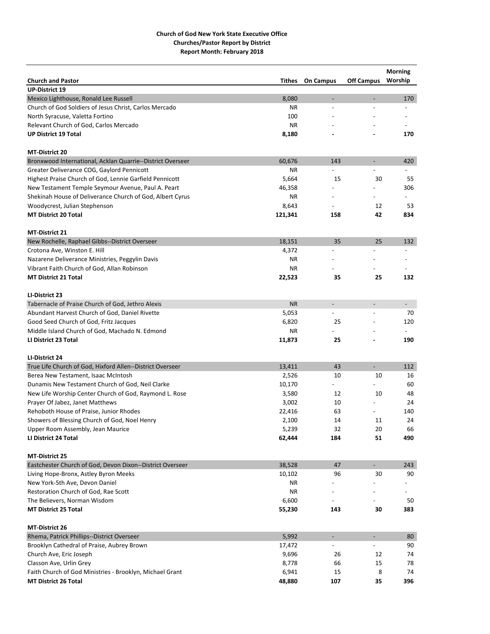|                                                            |           |                              |                          | <b>Morning</b>           |
|------------------------------------------------------------|-----------|------------------------------|--------------------------|--------------------------|
| <b>Church and Pastor</b>                                   | Tithes    | <b>On Campus</b>             | <b>Off Campus</b>        | Worship                  |
| <b>UP-District 19</b>                                      |           |                              |                          |                          |
| Mexico Lighthouse, Ronald Lee Russell                      | 8,080     | $\qquad \qquad \blacksquare$ | $\overline{a}$           | 170                      |
| Church of God Soldiers of Jesus Christ, Carlos Mercado     | ΝR        |                              |                          |                          |
| North Syracuse, Valetta Fortino                            | 100       |                              |                          |                          |
| Relevant Church of God, Carlos Mercado                     | <b>NR</b> |                              |                          |                          |
| <b>UP District 19 Total</b>                                | 8,180     |                              |                          | 170                      |
| <b>MT-District 20</b>                                      |           |                              |                          |                          |
| Bronxwood International, Acklan Quarrie--District Overseer | 60,676    | 143                          | $\overline{\phantom{a}}$ | 420                      |
| Greater Deliverance COG, Gaylord Pennicott                 | ΝR        |                              |                          |                          |
| Highest Praise Church of God, Lennie Garfield Pennicott    | 5,664     | 15                           | 30                       | 55                       |
| New Testament Temple Seymour Avenue, Paul A. Peart         | 46,358    |                              |                          | 306                      |
| Shekinah House of Deliverance Church of God, Albert Cyrus  | ΝR        |                              |                          |                          |
| Woodycrest, Julian Stephenson                              | 8,643     |                              | 12                       | 53                       |
| <b>MT District 20 Total</b>                                | 121,341   | 158                          | 42                       | 834                      |
| MT-District 21                                             |           |                              |                          |                          |
| New Rochelle, Raphael Gibbs--District Overseer             | 18,151    | 35                           | 25                       | 132                      |
| Crotona Ave, Winston E. Hill                               | 4,372     |                              |                          | $\overline{\phantom{a}}$ |
| Nazarene Deliverance Ministries, Peggylin Davis            | ΝR        |                              |                          |                          |
| Vibrant Faith Church of God, Allan Robinson                | ΝR        |                              |                          |                          |
| <b>MT District 21 Total</b>                                | 22,523    | 35                           | 25                       | 132                      |
| LI-District 23                                             |           |                              |                          |                          |
| Tabernacle of Praise Church of God, Jethro Alexis          | <b>NR</b> | $\overline{\phantom{a}}$     | $\overline{a}$           | $\overline{\phantom{a}}$ |
| Abundant Harvest Church of God, Daniel Rivette             | 5,053     | $\overline{\phantom{a}}$     |                          | 70                       |
| Good Seed Church of God, Fritz Jacques                     | 6,820     | 25                           |                          | 120                      |
| Middle Island Church of God, Machado N. Edmond             | ΝR        |                              |                          |                          |
| LI District 23 Total                                       | 11,873    | 25                           |                          | 190                      |
| LI-District 24                                             |           |                              |                          |                          |
| True Life Church of God, Hixford Allen--District Overseer  | 13,411    | 43                           | $\overline{\phantom{a}}$ | 112                      |
| Berea New Testament, Isaac McIntosh                        | 2,526     | 10                           | 10                       | 16                       |
| Dunamis New Testament Church of God, Neil Clarke           | 10,170    | $\overline{\phantom{0}}$     |                          | 60                       |
| New Life Worship Center Church of God, Raymond L. Rose     | 3,580     | 12                           | 10                       | 48                       |
| Prayer Of Jabez, Janet Matthews                            | 3,002     | 10                           |                          | 24                       |
| Rehoboth House of Praise, Junior Rhodes                    | 22,416    | 63                           |                          | 140                      |
| Showers of Blessing Church of God, Noel Henry              | 2,100     | 14                           | 11                       | 24                       |
| Upper Room Assembly, Jean Maurice                          | 5,239     | 32                           | 20                       | 66                       |
| LI District 24 Total                                       | 62,444    | 184                          | 51                       | 490                      |
| <b>MT-District 25</b>                                      |           |                              |                          |                          |
| Eastchester Church of God, Devon Dixon--District Overseer  | 38,528    | 47                           | $\overline{\phantom{0}}$ | 243                      |
| Living Hope-Bronx, Astley Byron Meeks                      | 10,102    | 96                           | 30                       | 90                       |
| New York-5th Ave, Devon Daniel                             | ΝR        |                              |                          |                          |
| Restoration Church of God, Rae Scott                       | ΝR        |                              |                          |                          |
| The Believers, Norman Wisdom                               | 6,600     |                              |                          | 50                       |
| <b>MT District 25 Total</b>                                | 55,230    | 143                          | 30                       | 383                      |
|                                                            |           |                              |                          |                          |
| MT-District 26                                             |           |                              |                          |                          |
| Rhema, Patrick Phillips--District Overseer                 | 5,992     | $\overline{\phantom{a}}$     | $\overline{\phantom{a}}$ | 80                       |
| Brooklyn Cathedral of Praise, Aubrey Brown                 | 17,472    |                              |                          | 90                       |
| Church Ave, Eric Joseph                                    | 9,696     | 26                           | 12                       | 74                       |
| Classon Ave, Urlin Grey                                    | 8,778     | 66                           | 15                       | 78                       |
| Faith Church of God Ministries - Brooklyn, Michael Grant   | 6,941     | 15                           | 8                        | 74                       |
| <b>MT District 26 Total</b>                                | 48,880    | 107                          | 35                       | 396                      |